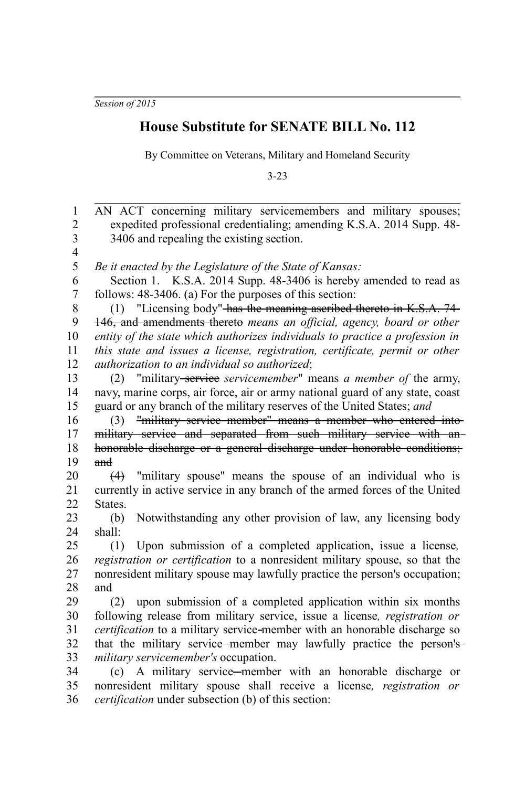*Session of 2015*

## **House Substitute for SENATE BILL No. 112**

By Committee on Veterans, Military and Homeland Security

3-23

AN ACT concerning military servicemembers and military spouses; expedited professional credentialing; amending K.S.A. 2014 Supp. 48- 3406 and repealing the existing section. *Be it enacted by the Legislature of the State of Kansas:* Section 1. K.S.A. 2014 Supp. 48-3406 is hereby amended to read as follows: 48-3406. (a) For the purposes of this section: (1) "Licensing body" has the meaning ascribed thereto in K.S.A. 74- 146, and amendments thereto *means an official, agency, board or other entity of the state which authorizes individuals to practice a profession in this state and issues a license, registration, certificate, permit or other authorization to an individual so authorized*; (2) "military service *servicemember*" means *a member of* the army, navy, marine corps, air force, air or army national guard of any state, coast guard or any branch of the military reserves of the United States; *and* (3) "military service member" means a member who entered into military service and separated from such military service with anhonorable discharge or a general discharge under honorable conditions; and (4) "military spouse" means the spouse of an individual who is currently in active service in any branch of the armed forces of the United States. (b) Notwithstanding any other provision of law, any licensing body shall: (1) Upon submission of a completed application, issue a license*, registration or certification* to a nonresident military spouse, so that the nonresident military spouse may lawfully practice the person's occupation; and (2) upon submission of a completed application within six months following release from military service, issue a license*, registration or certification* to a military service member with an honorable discharge so that the military service—member may lawfully practice the person's*military servicemember's* occupation. (c) A military service member with an honorable discharge or nonresident military spouse shall receive a license*, registration or certification* under subsection (b) of this section: 1 2 3 4 5 6 7 8 9 10 11 12 13 14 15 16 17 18 19 20 21 22 23 24 25 26 27 28 29 30 31 32 33 34 35 36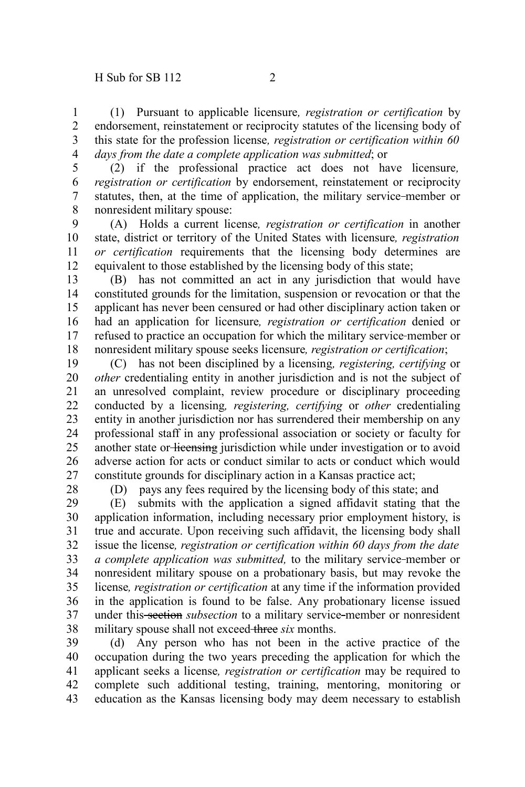(1) Pursuant to applicable licensure*, registration or certification* by endorsement, reinstatement or reciprocity statutes of the licensing body of this state for the profession license*, registration or certification within 60 days from the date a complete application was submitted*; or 1 2 3 4

5

(2) if the professional practice act does not have licensure*, registration or certification* by endorsement, reinstatement or reciprocity statutes, then, at the time of application, the military service member or nonresident military spouse: 6 7 8

(A) Holds a current license*, registration or certification* in another state, district or territory of the United States with licensure*, registration or certification* requirements that the licensing body determines are equivalent to those established by the licensing body of this state; 9 10 11 12

(B) has not committed an act in any jurisdiction that would have constituted grounds for the limitation, suspension or revocation or that the applicant has never been censured or had other disciplinary action taken or had an application for licensure*, registration or certification* denied or refused to practice an occupation for which the military service member or nonresident military spouse seeks licensure*, registration or certification*; 13 14 15 16 17 18

(C) has not been disciplined by a licensing*, registering, certifying* or *other* credentialing entity in another jurisdiction and is not the subject of an unresolved complaint, review procedure or disciplinary proceeding conducted by a licensing*, registering, certifying* or *other* credentialing entity in another jurisdiction nor has surrendered their membership on any professional staff in any professional association or society or faculty for another state or licensing jurisdiction while under investigation or to avoid adverse action for acts or conduct similar to acts or conduct which would constitute grounds for disciplinary action in a Kansas practice act; 19 20 21 22 23 24 25 26 27

28

(D) pays any fees required by the licensing body of this state; and

(E) submits with the application a signed affidavit stating that the application information, including necessary prior employment history, is true and accurate. Upon receiving such affidavit, the licensing body shall issue the license*, registration or certification within 60 days from the date a complete application was submitted,* to the military service member or nonresident military spouse on a probationary basis, but may revoke the license*, registration or certification* at any time if the information provided in the application is found to be false. Any probationary license issued under this section *subsection* to a military service member or nonresident military spouse shall not exceed three *six* months. 29 30 31 32 33 34 35 36 37 38

(d) Any person who has not been in the active practice of the occupation during the two years preceding the application for which the applicant seeks a license*, registration or certification* may be required to complete such additional testing, training, mentoring, monitoring or education as the Kansas licensing body may deem necessary to establish 39 40 41 42 43